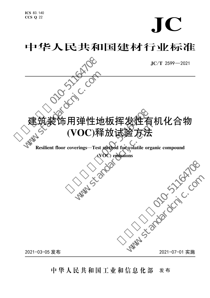$\bigcap$ 

# 中华人民共和国建材行业标准



中 华 人 民 共 和 国 工 业 和 信 息 化 部 发 布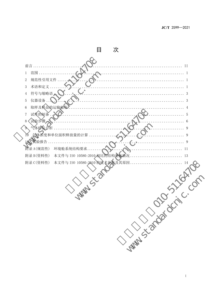| 次                                                |
|--------------------------------------------------|
|                                                  |
| 前言<br>$\ldots$ II                                |
| 范围<br>$\mathbf{1}$<br>.                          |
| 规范性引用文作<br>2                                     |
| 术语和定义<br>$\mathfrak{Z}$                          |
| 符号与缩略语<br>$\overline{4}$<br>3                    |
| 仪器设备<br>5<br>3                                   |
| 取样及样品的运输储有<br>6                                  |
| 试件的制备.<br>$\overline{7}$<br>5                    |
| 试验步骤<br>$8\,$<br>6                               |
| 气体样温分<br>9<br>9                                  |
| 気体浓度和单位面积释放量的计算<br>10<br>9                       |
| 试验报告<br>9                                        |
| 附录 A(规范性)<br>环境舱系统结构要求<br>11                     |
| 本文件与 ISO 10580:2010 相比的结构变化情<br>附录 B(资料性)<br>13  |
| 本文件与 ISO 10580:2010 的技术差异及其原因<br>附录 C(资料性)<br>14 |
|                                                  |
|                                                  |
| W S Tà                                           |
|                                                  |
| Tal. Compt                                       |
|                                                  |
|                                                  |
|                                                  |
|                                                  |
| Water States Of Joy                              |
|                                                  |
|                                                  |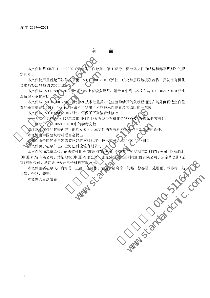前 言

本文件按照 GB/T 1.1-2020 《标准化工作导见<br>定起草。<br>本文件使用重新起草法修改采用 ISO 10580:2<br>合物 (VOC)释放的试验方法》》》 <br> 合物 (VOC)释放的试验方法》 <br>本文件与 ISO 10580:2010相比在结构上有较多<br><br> 季条编号变化对照 一般表 - 网络0.2010相比存在技术性差异<br><br> 章条编号变化对照 一个500-2010相比,还做了下列<br><br> 章章单线(|)进行了标本 附录 C 中给出了利用 本文件按照 GB/T 1.1-2020《标准化工作导则 第 1 部分: 标准化文件的结构和起草规则》的规 定起草。

起草。<br>本文件使用重新起草法修改采用 ISO 10580:20<br>物(VOC)释放的试验方法》。<br>本文件与 ISO 10580:2010相比在结构上有较多<br>条编号变化对照一次表。<br>本文件与 ISO 10580:2010相比存在技术性差异<br>本文件与 ISO 10580:2010相比,还做了下列编<br>本文件与 ISO 10580:2010相比,还做了下列编<br>一一将文件各称改为《建筑装饰用弹地板挥》<br>一一删除了CO 10580:2010中的参考文 本文件使用重新起草法修改采用 ISO 10580:2010《弹性 织物和层压地板覆盖物 挥发性有机化 合物(VOC)释放的试验方法》。

本文件与 ISO 10580:2010 相比在结构上有较多调整,附录 B 中列出本文件与 ISO 10580:2010 相比 章条编号变化对照一

本文件与 ISO 10580:2010 相比存在技术性差异,这些差异涉及的条款已通过在其外侧页边空白位 置的垂直单线(**|**)进行了标示,附录 C 中给出了相应技术性差异及其原因的一览表。

本文件与 ISO 10580:2010 相比,还做了下列编辑性修改:

将文件名称改为《建筑装饰用弹性地板挥发性有机化合物(VOC)释放试验方法》;

——删除了 ISO 10580:2010 中的参考文献。

请注意本文件的某些内容可能涉及专利。本文件的发布机构不承担识别专利的责任。

本文件由中国建筑材料联合会提出。

本文件由全国轻质与装饰装修建筑材料标准化技术委员会(SAC/TC 195)归口。

本文件负责起草单位:上海建科检验有限公司。

riaco Fand ,而应及不已经开发开放后的。<br>相比,还做了下列编辑性修改:<br>10 中的参考文献。本文件的发布机构不承担识别专利的<br>10 中的参考文献。本文件的发布机构不承担识别专利的<br>可能涉及专利。本文件的发布机构不承担识别专利的<br>可能涉及专利。本文件的发布机构不承担识别专利的<br>52. 法律出标准化技术委员会AAC/TC 195)归口。<br>全提出。<br>10 学会提出。<br>10 学会提出,张家港资助家居科技股份有限公司、张家港资助家居科技 +的参考文献。本文件的发布机构不承担识别专利的技术。<br>法提出。建筑材料标准化技术委员会SAC/TC 195)归口。<br>建筑材料标准化技术委员会SAC/TC 195)归口。<br>性地板(苏州)有限公司、张家港市易华润东新材料检验有限公司、张家港市易华润东销社股份有限公司、张家港市易华润东新材料<br>中国)有限公司、张家港市易华润东新材料<br>科利原公司。<br>王静、任彬彬、袁骏全胡晓珍、刘强、徐春雷、旅<br>大会会会议会议会议会议会议会会会会议会会议会会议会 本文件参加起草单位:丽杰特性地板(苏州)有限公司、张家港市易华润东新材有限公司、阿姆斯壮 (中国)投资有限公司、洁福地板(中国)有限公司、张家港爱丽家居科技股份有限公司、乐金华奥斯(无 锡)有限公司、浙江金华天开电子材料有限公司。

さ、刘强、徐春雷、施展鹏、顾春梅、陆人(C) wardchic.com 本文件主要起草人: 俞海勇、王静、任彬彬、袁毅、胡晓珍、刘强、徐春雷、施展鹏、顾春梅、陆、张路、姜干。<br>-<br>本文件为首次发布。<br>- ANN 秀清、张路、姜干。

本文件为首次发布。